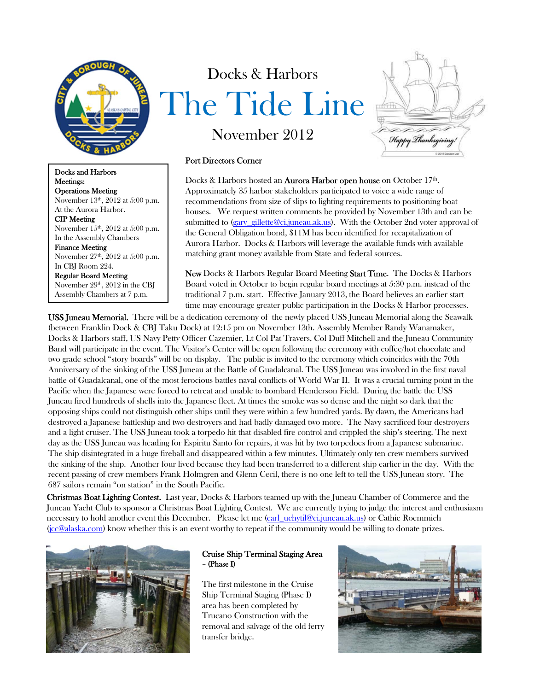

Docks and Harbors Meetings: Operations Meeting November 13<sup>th</sup>, 2012 at 5:00 p.m. At the Aurora Harbor. CIP Meeting November 15<sup>th</sup>, 2012 at 5:00 p.m. In the Assembly Chambers Finance Meeting November 27<sup>th</sup>, 2012 at 5:00 p.m. In CBJ Room 224. Regular Board Meeting November 29th, 2012 in the CBJ Assembly Chambers at 7 p.m.

# Docks & Harbors The Tide Line November 2012



Port Directors Corner

Docks & Harbors hosted an **Aurora Harbor open house** on October 17<sup>th</sup>. Approximately 35 harbor stakeholders participated to voice a wide range of recommendations from size of slips to lighting requirements to positioning boat houses. We request written comments be provided by November 13th and can be submitted to (gary\_gillette@ci.juneau.ak.us). With the October 2nd voter approval of the General Obligation bond, \$11M has been identified for recapitalization of Aurora Harbor. Docks & Harbors will leverage the available funds with available matching grant money available from State and federal sources.

New Docks & Harbors Regular Board Meeting Start Time. The Docks & Harbors Board voted in October to begin regular board meetings at 5:30 p.m. instead of the traditional 7 p.m. start. Effective January 2013, the Board believes an earlier start time may encourage greater public participation in the Docks & Harbor processes.

USS Juneau Memorial. There will be a dedication ceremony of the newly placed USS Juneau Memorial along the Seawalk (between Franklin Dock & CBJ Taku Dock) at 12:15 pm on November 13th. Assembly Member Randy Wanamaker, Docks & Harbors staff, US Navy Petty Officer Cazemier, Lt Col Pat Travers, Col Duff Mitchell and the Juneau Community Band will participate in the event. The Visitor's Center will be open following the ceremony with coffee/hot chocolate and two grade school "story boards" will be on display. The public is invited to the ceremony which coincides with the 70th Anniversary of the sinking of the USS Juneau at the Battle of Guadalcanal. The USS Juneau was involved in the first naval battle of Guadalcanal, one of the most ferocious battles naval conflicts of World War II. It was a crucial turning point in the Pacific when the Japanese were forced to retreat and unable to bombard Henderson Field. During the battle the USS Juneau fired hundreds of shells into the Japanese fleet. At times the smoke was so dense and the night so dark that the opposing ships could not distinguish other ships until they were within a few hundred yards. By dawn, the Americans had destroyed a Japanese battleship and two destroyers and had badly damaged two more. The Navy sacrificed four destroyers and a light cruiser. The USS Juneau took a torpedo hit that disabled fire control and crippled the ship's steering. The next day as the USS Juneau was heading for Espiritu Santo for repairs, it was hit by two torpedoes from a Japanese submarine. The ship disintegrated in a huge fireball and disappeared within a few minutes. Ultimately only ten crew members survived the sinking of the ship. Another four lived because they had been transferred to a different ship earlier in the day. With the recent passing of crew members Frank Holmgren and Glenn Cecil, there is no one left to tell the USS Juneau story. The 687 sailors remain "on station" in the South Pacific.

Christmas Boat Lighting Contest. Last year, Docks & Harbors teamed up with the Juneau Chamber of Commerce and the Juneau Yacht Club to sponsor a Christmas Boat Lighting Contest. We are currently trying to judge the interest and enthusiasm necessary to hold another event this December. Please let me (carl\_uchytil@ci.juneau.ak.us) or Cathie Roemmich (jcc@alaska.com) know whether this is an event worthy to repeat if the community would be willing to donate prizes.



## Cruise Ship Terminal Staging Area – (Phase I)

The first milestone in the Cruise Ship Terminal Staging (Phase I) area has been completed by Trucano Construction with the removal and salvage of the old ferry transfer bridge.